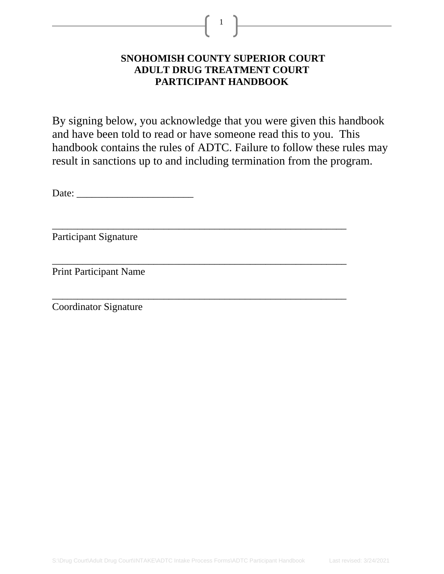### **SNOHOMISH COUNTY SUPERIOR COURT ADULT DRUG TREATMENT COURT PARTICIPANT HANDBOOK**

1

By signing below, you acknowledge that you were given this handbook and have been told to read or have someone read this to you. This handbook contains the rules of ADTC. Failure to follow these rules may result in sanctions up to and including termination from the program.

\_\_\_\_\_\_\_\_\_\_\_\_\_\_\_\_\_\_\_\_\_\_\_\_\_\_\_\_\_\_\_\_\_\_\_\_\_\_\_\_\_\_\_\_\_\_\_\_\_\_\_\_\_\_\_\_\_\_

\_\_\_\_\_\_\_\_\_\_\_\_\_\_\_\_\_\_\_\_\_\_\_\_\_\_\_\_\_\_\_\_\_\_\_\_\_\_\_\_\_\_\_\_\_\_\_\_\_\_\_\_\_\_\_\_\_\_

\_\_\_\_\_\_\_\_\_\_\_\_\_\_\_\_\_\_\_\_\_\_\_\_\_\_\_\_\_\_\_\_\_\_\_\_\_\_\_\_\_\_\_\_\_\_\_\_\_\_\_\_\_\_\_\_\_\_

Date: \_\_\_\_\_\_\_\_\_\_\_\_\_\_\_\_\_\_\_\_\_\_\_

Participant Signature

Print Participant Name

Coordinator Signature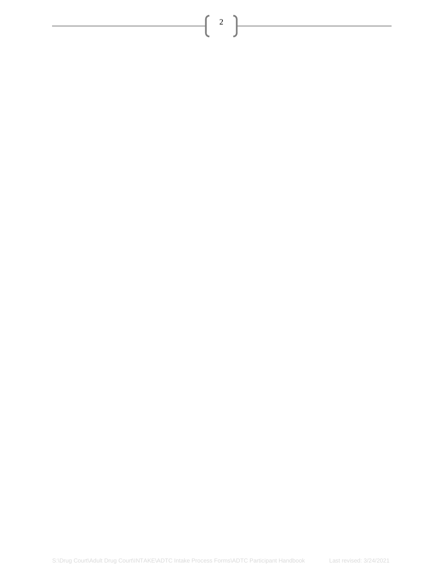

 $\begin{pmatrix} 2 \end{pmatrix}$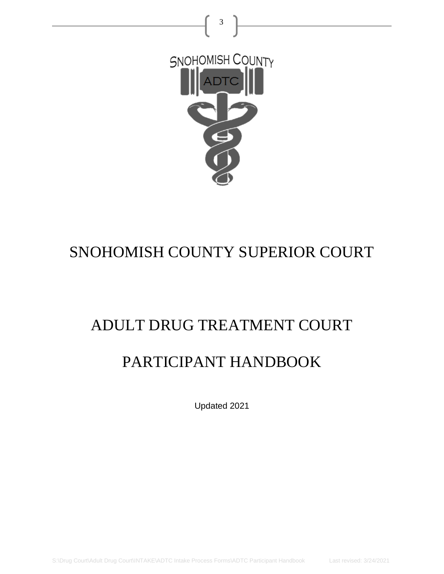

# SNOHOMISH COUNTY SUPERIOR COURT

# ADULT DRUG TREATMENT COURT

# PARTICIPANT HANDBOOK

Updated 2021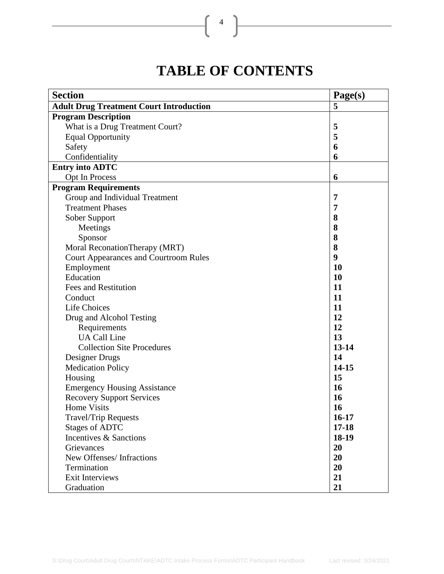# **TABLE OF CONTENTS**

 $\begin{pmatrix} 4 \end{pmatrix}$ 

| <b>Section</b>                                 | Page(s)   |
|------------------------------------------------|-----------|
| <b>Adult Drug Treatment Court Introduction</b> | 5         |
| <b>Program Description</b>                     |           |
| What is a Drug Treatment Court?                | 5         |
| <b>Equal Opportunity</b>                       | 5         |
| Safety                                         | 6         |
| Confidentiality                                | 6         |
| <b>Entry into ADTC</b>                         |           |
| Opt In Process                                 | 6         |
| <b>Program Requirements</b>                    |           |
| Group and Individual Treatment                 | 7         |
| <b>Treatment Phases</b>                        | 7         |
| Sober Support                                  | 8         |
| Meetings                                       | 8         |
| Sponsor                                        | 8         |
| Moral ReconationTherapy (MRT)                  | 8         |
| <b>Court Appearances and Courtroom Rules</b>   | 9         |
| Employment                                     | 10        |
| Education                                      | 10        |
| <b>Fees and Restitution</b>                    | 11        |
| Conduct                                        | 11        |
| <b>Life Choices</b>                            | 11        |
| Drug and Alcohol Testing                       | 12        |
| Requirements                                   | 12        |
| <b>UA Call Line</b>                            | 13        |
| <b>Collection Site Procedures</b>              | $13 - 14$ |
| Designer Drugs                                 | 14        |
| <b>Medication Policy</b>                       | 14-15     |
| Housing                                        | 15        |
| <b>Emergency Housing Assistance</b>            | 16        |
| <b>Recovery Support Services</b>               | 16        |
| <b>Home Visits</b>                             | 16        |
| <b>Travel/Trip Requests</b>                    | $16 - 17$ |
| <b>Stages of ADTC</b>                          | $17 - 18$ |
| Incentives & Sanctions                         | 18-19     |
| Grievances                                     | 20        |
| New Offenses/Infractions                       | 20        |
| Termination                                    | 20        |
| <b>Exit Interviews</b>                         | 21        |
| Graduation                                     | 21        |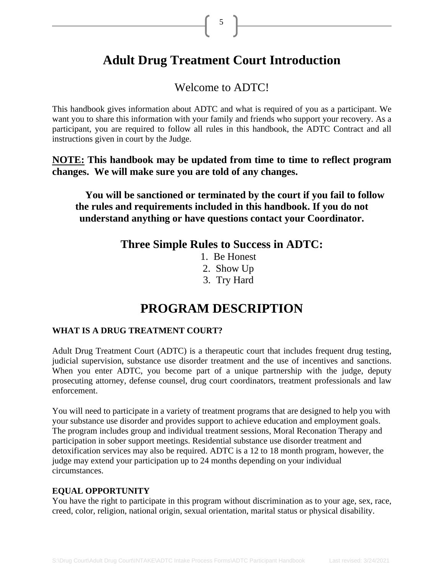# **Adult Drug Treatment Court Introduction**

 $\begin{bmatrix} 5 \end{bmatrix}$ 

### Welcome to ADTC!

This handbook gives information about ADTC and what is required of you as a participant. We want you to share this information with your family and friends who support your recovery. As a participant, you are required to follow all rules in this handbook, the ADTC Contract and all instructions given in court by the Judge.

### **NOTE: This handbook may be updated from time to time to reflect program changes. We will make sure you are told of any changes.**

**You will be sanctioned or terminated by the court if you fail to follow the rules and requirements included in this handbook. If you do not understand anything or have questions contact your Coordinator.**

### **Three Simple Rules to Success in ADTC:**

- 1. Be Honest
- 2. Show Up
- 3. Try Hard

## **PROGRAM DESCRIPTION**

### **WHAT IS A DRUG TREATMENT COURT?**

Adult Drug Treatment Court (ADTC) is a therapeutic court that includes frequent drug testing, judicial supervision, substance use disorder treatment and the use of incentives and sanctions. When you enter ADTC, you become part of a unique partnership with the judge, deputy prosecuting attorney, defense counsel, drug court coordinators, treatment professionals and law enforcement.

You will need to participate in a variety of treatment programs that are designed to help you with your substance use disorder and provides support to achieve education and employment goals. The program includes group and individual treatment sessions, Moral Reconation Therapy and participation in sober support meetings. Residential substance use disorder treatment and detoxification services may also be required. ADTC is a 12 to 18 month program, however, the judge may extend your participation up to 24 months depending on your individual circumstances.

#### **EQUAL OPPORTUNITY**

You have the right to participate in this program without discrimination as to your age, sex, race, creed, color, religion, national origin, sexual orientation, marital status or physical disability.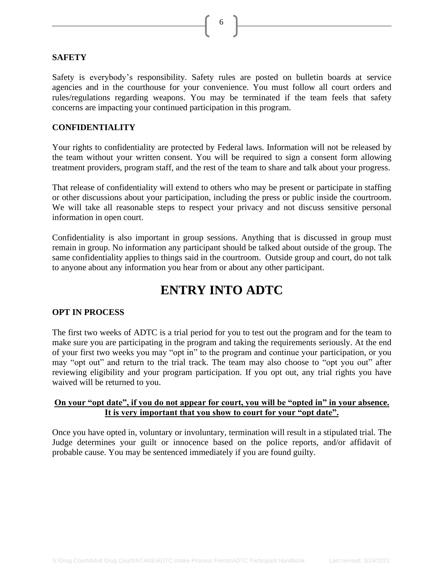#### **SAFETY**

Safety is everybody's responsibility. Safety rules are posted on bulletin boards at service agencies and in the courthouse for your convenience. You must follow all court orders and rules/regulations regarding weapons. You may be terminated if the team feels that safety concerns are impacting your continued participation in this program.

#### **CONFIDENTIALITY**

Your rights to confidentiality are protected by Federal laws. Information will not be released by the team without your written consent. You will be required to sign a consent form allowing treatment providers, program staff, and the rest of the team to share and talk about your progress.

That release of confidentiality will extend to others who may be present or participate in staffing or other discussions about your participation, including the press or public inside the courtroom. We will take all reasonable steps to respect your privacy and not discuss sensitive personal information in open court.

Confidentiality is also important in group sessions. Anything that is discussed in group must remain in group. No information any participant should be talked about outside of the group. The same confidentiality applies to things said in the courtroom. Outside group and court, do not talk to anyone about any information you hear from or about any other participant.

# **ENTRY INTO ADTC**

#### **OPT IN PROCESS**

The first two weeks of ADTC is a trial period for you to test out the program and for the team to make sure you are participating in the program and taking the requirements seriously. At the end of your first two weeks you may "opt in" to the program and continue your participation, or you may "opt out" and return to the trial track. The team may also choose to "opt you out" after reviewing eligibility and your program participation. If you opt out, any trial rights you have waived will be returned to you.

#### **On your "opt date", if you do not appear for court, you will be "opted in" in your absence. It is very important that you show to court for your "opt date".**

Once you have opted in, voluntary or involuntary, termination will result in a stipulated trial. The Judge determines your guilt or innocence based on the police reports, and/or affidavit of probable cause. You may be sentenced immediately if you are found guilty.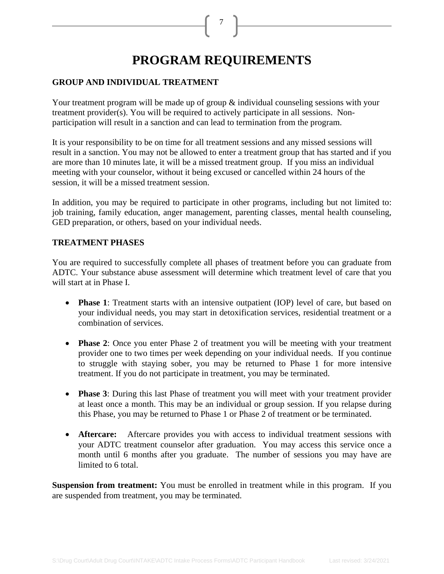# **PROGRAM REQUIREMENTS**

7

#### **GROUP AND INDIVIDUAL TREATMENT**

Your treatment program will be made up of group & individual counseling sessions with your treatment provider(s). You will be required to actively participate in all sessions. Nonparticipation will result in a sanction and can lead to termination from the program.

It is your responsibility to be on time for all treatment sessions and any missed sessions will result in a sanction. You may not be allowed to enter a treatment group that has started and if you are more than 10 minutes late, it will be a missed treatment group. If you miss an individual meeting with your counselor, without it being excused or cancelled within 24 hours of the session, it will be a missed treatment session.

In addition, you may be required to participate in other programs, including but not limited to: job training, family education, anger management, parenting classes, mental health counseling, GED preparation, or others, based on your individual needs.

#### **TREATMENT PHASES**

You are required to successfully complete all phases of treatment before you can graduate from ADTC. Your substance abuse assessment will determine which treatment level of care that you will start at in Phase I.

- **Phase 1**: Treatment starts with an intensive outpatient (IOP) level of care, but based on your individual needs, you may start in detoxification services, residential treatment or a combination of services.
- **Phase 2**: Once you enter Phase 2 of treatment you will be meeting with your treatment provider one to two times per week depending on your individual needs. If you continue to struggle with staying sober, you may be returned to Phase 1 for more intensive treatment. If you do not participate in treatment, you may be terminated.
- **Phase 3**: During this last Phase of treatment you will meet with your treatment provider at least once a month. This may be an individual or group session. If you relapse during this Phase, you may be returned to Phase 1 or Phase 2 of treatment or be terminated.
- **Aftercare:** Aftercare provides you with access to individual treatment sessions with your ADTC treatment counselor after graduation. You may access this service once a month until 6 months after you graduate. The number of sessions you may have are limited to 6 total.

**Suspension from treatment:** You must be enrolled in treatment while in this program. If you are suspended from treatment, you may be terminated.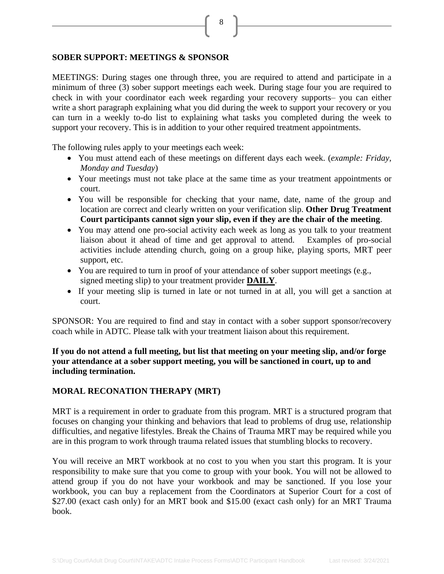#### **SOBER SUPPORT: MEETINGS & SPONSOR**

MEETINGS: During stages one through three, you are required to attend and participate in a minimum of three (3) sober support meetings each week. During stage four you are required to check in with your coordinator each week regarding your recovery supports– you can either write a short paragraph explaining what you did during the week to support your recovery or you can turn in a weekly to-do list to explaining what tasks you completed during the week to support your recovery. This is in addition to your other required treatment appointments.

8

The following rules apply to your meetings each week:

- You must attend each of these meetings on different days each week. (*example: Friday, Monday and Tuesday*)
- Your meetings must not take place at the same time as your treatment appointments or court.
- You will be responsible for checking that your name, date, name of the group and location are correct and clearly written on your verification slip. **Other Drug Treatment Court participants cannot sign your slip, even if they are the chair of the meeting**.
- You may attend one pro-social activity each week as long as you talk to your treatment liaison about it ahead of time and get approval to attend. Examples of pro-social activities include attending church, going on a group hike, playing sports, MRT peer support, etc.
- You are required to turn in proof of your attendance of sober support meetings (e.g., signed meeting slip) to your treatment provider **DAILY**.
- If your meeting slip is turned in late or not turned in at all, you will get a sanction at court.

SPONSOR: You are required to find and stay in contact with a sober support sponsor/recovery coach while in ADTC. Please talk with your treatment liaison about this requirement.

**If you do not attend a full meeting, but list that meeting on your meeting slip, and/or forge your attendance at a sober support meeting, you will be sanctioned in court, up to and including termination.** 

#### **MORAL RECONATION THERAPY (MRT)**

MRT is a requirement in order to graduate from this program. MRT is a structured program that focuses on changing your thinking and behaviors that lead to problems of drug use, relationship difficulties, and negative lifestyles. Break the Chains of Trauma MRT may be required while you are in this program to work through trauma related issues that stumbling blocks to recovery.

You will receive an MRT workbook at no cost to you when you start this program. It is your responsibility to make sure that you come to group with your book. You will not be allowed to attend group if you do not have your workbook and may be sanctioned. If you lose your workbook, you can buy a replacement from the Coordinators at Superior Court for a cost of \$27.00 (exact cash only) for an MRT book and \$15.00 (exact cash only) for an MRT Trauma book.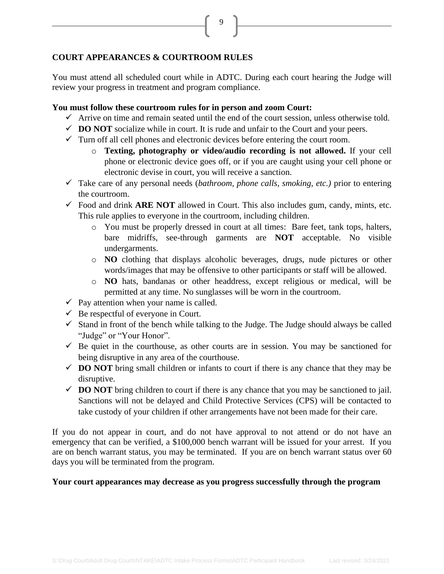#### **COURT APPEARANCES & COURTROOM RULES**

You must attend all scheduled court while in ADTC. During each court hearing the Judge will review your progress in treatment and program compliance.

9

#### **You must follow these courtroom rules for in person and zoom Court:**

- $\checkmark$  Arrive on time and remain seated until the end of the court session, unless otherwise told.
- $\checkmark$  **DO NOT** socialize while in court. It is rude and unfair to the Court and your peers.
- $\checkmark$  Turn off all cell phones and electronic devices before entering the court room.
	- o **Texting, photography or video/audio recording is not allowed.** If your cell phone or electronic device goes off, or if you are caught using your cell phone or electronic devise in court, you will receive a sanction.
- ✓ Take care of any personal needs (*bathroom, phone calls, smoking, etc.)* prior to entering the courtroom.
- ✓ Food and drink **ARE NOT** allowed in Court. This also includes gum, candy, mints, etc. This rule applies to everyone in the courtroom, including children.
	- o You must be properly dressed in court at all times: Bare feet, tank tops, halters, bare midriffs, see-through garments are **NOT** acceptable. No visible undergarments.
	- o **NO** clothing that displays alcoholic beverages, drugs, nude pictures or other words/images that may be offensive to other participants or staff will be allowed.
	- o **NO** hats, bandanas or other headdress, except religious or medical, will be permitted at any time. No sunglasses will be worn in the courtroom.
- $\checkmark$  Pay attention when your name is called.
- $\checkmark$  Be respectful of everyone in Court.
- $\checkmark$  Stand in front of the bench while talking to the Judge. The Judge should always be called "Judge" or "Your Honor".
- $\checkmark$  Be quiet in the courthouse, as other courts are in session. You may be sanctioned for being disruptive in any area of the courthouse.
- $\checkmark$  **DO NOT** bring small children or infants to court if there is any chance that they may be disruptive.
- $\checkmark$  **DO NOT** bring children to court if there is any chance that you may be sanctioned to jail. Sanctions will not be delayed and Child Protective Services (CPS) will be contacted to take custody of your children if other arrangements have not been made for their care.

If you do not appear in court, and do not have approval to not attend or do not have an emergency that can be verified, a \$100,000 bench warrant will be issued for your arrest. If you are on bench warrant status, you may be terminated. If you are on bench warrant status over 60 days you will be terminated from the program.

#### **Your court appearances may decrease as you progress successfully through the program**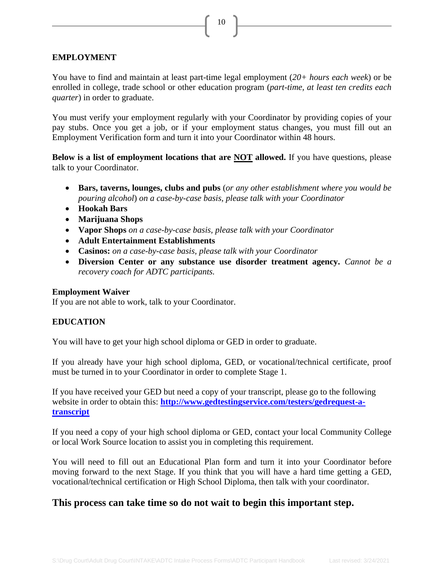#### **EMPLOYMENT**

You have to find and maintain at least part-time legal employment (*20+ hours each week*) or be enrolled in college, trade school or other education program (*part-time, at least ten credits each quarter*) in order to graduate.

10

You must verify your employment regularly with your Coordinator by providing copies of your pay stubs. Once you get a job, or if your employment status changes, you must fill out an Employment Verification form and turn it into your Coordinator within 48 hours.

**Below is a list of employment locations that are NOT allowed.** If you have questions, please talk to your Coordinator.

- **Bars, taverns, lounges, clubs and pubs** (*or any other establishment where you would be pouring alcohol*) *on a case-by-case basis, please talk with your Coordinator*
- **Hookah Bars**
- **Marijuana Shops**
- **Vapor Shops** *on a case-by-case basis, please talk with your Coordinator*
- **Adult Entertainment Establishments**
- **Casinos:** *on a case-by-case basis, please talk with your Coordinator*
- **Diversion Center or any substance use disorder treatment agency.** *Cannot be a recovery coach for ADTC participants.*

#### **Employment Waiver**

If you are not able to work, talk to your Coordinator.

#### **EDUCATION**

You will have to get your high school diploma or GED in order to graduate.

If you already have your high school diploma, GED, or vocational/technical certificate, proof must be turned in to your Coordinator in order to complete Stage 1.

If you have received your GED but need a copy of your transcript, please go to the following website in order to obtain this: **http://www.gedtestingservice.com/testers/gedrequest-atranscript**

If you need a copy of your high school diploma or GED, contact your local Community College or local Work Source location to assist you in completing this requirement.

You will need to fill out an Educational Plan form and turn it into your Coordinator before moving forward to the next Stage. If you think that you will have a hard time getting a GED, vocational/technical certification or High School Diploma, then talk with your coordinator.

### **This process can take time so do not wait to begin this important step.**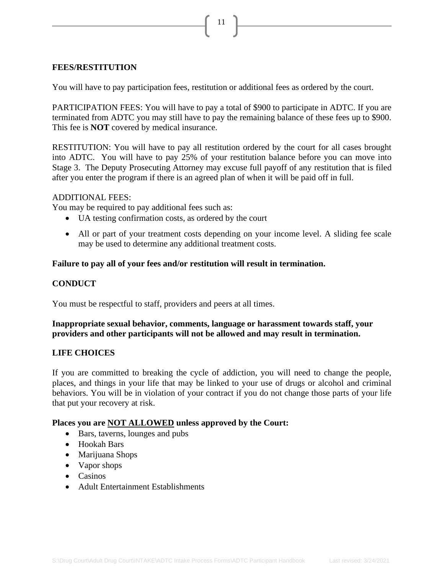#### **FEES/RESTITUTION**

You will have to pay participation fees, restitution or additional fees as ordered by the court.

PARTICIPATION FEES: You will have to pay a total of \$900 to participate in ADTC. If you are terminated from ADTC you may still have to pay the remaining balance of these fees up to \$900. This fee is **NOT** covered by medical insurance.

11

RESTITUTION: You will have to pay all restitution ordered by the court for all cases brought into ADTC. You will have to pay 25% of your restitution balance before you can move into Stage 3. The Deputy Prosecuting Attorney may excuse full payoff of any restitution that is filed after you enter the program if there is an agreed plan of when it will be paid off in full.

#### ADDITIONAL FEES:

You may be required to pay additional fees such as:

- UA testing confirmation costs, as ordered by the court
- All or part of your treatment costs depending on your income level. A sliding fee scale may be used to determine any additional treatment costs.

#### **Failure to pay all of your fees and/or restitution will result in termination.**

#### **CONDUCT**

You must be respectful to staff, providers and peers at all times.

#### **Inappropriate sexual behavior, comments, language or harassment towards staff, your providers and other participants will not be allowed and may result in termination.**

#### **LIFE CHOICES**

If you are committed to breaking the cycle of addiction, you will need to change the people, places, and things in your life that may be linked to your use of drugs or alcohol and criminal behaviors. You will be in violation of your contract if you do not change those parts of your life that put your recovery at risk.

#### **Places you are NOT ALLOWED unless approved by the Court:**

- Bars, taverns, lounges and pubs
- Hookah Bars
- Marijuana Shops
- Vapor shops
- Casinos
- Adult Entertainment Establishments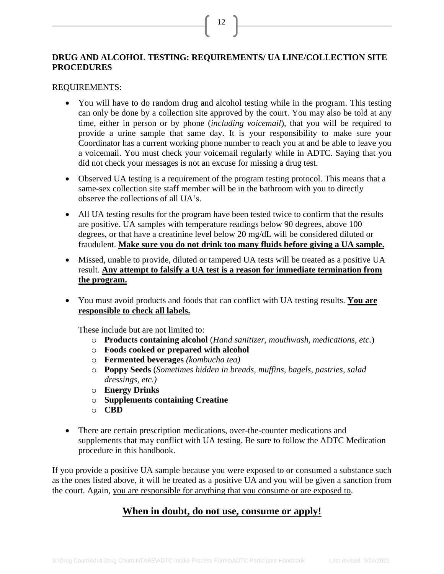#### **DRUG AND ALCOHOL TESTING: REQUIREMENTS/ UA LINE/COLLECTION SITE PROCEDURES**

12

#### REQUIREMENTS:

- You will have to do random drug and alcohol testing while in the program. This testing can only be done by a collection site approved by the court. You may also be told at any time, either in person or by phone (*including voicemail*), that you will be required to provide a urine sample that same day. It is your responsibility to make sure your Coordinator has a current working phone number to reach you at and be able to leave you a voicemail. You must check your voicemail regularly while in ADTC. Saying that you did not check your messages is not an excuse for missing a drug test.
- Observed UA testing is a requirement of the program testing protocol. This means that a same-sex collection site staff member will be in the bathroom with you to directly observe the collections of all UA's.
- All UA testing results for the program have been tested twice to confirm that the results are positive. UA samples with temperature readings below 90 degrees, above 100 degrees, or that have a creatinine level below 20 mg/dL will be considered diluted or fraudulent. **Make sure you do not drink too many fluids before giving a UA sample.**
- Missed, unable to provide, diluted or tampered UA tests will be treated as a positive UA result. **Any attempt to falsify a UA test is a reason for immediate termination from the program.**
- You must avoid products and foods that can conflict with UA testing results. **You are responsible to check all labels.**

These include but are not limited to:

- o **Products containing alcohol** (*Hand sanitizer, mouthwash, medications, etc*.)
- o **Foods cooked or prepared with alcohol**
- o **Fermented beverages** *(kombucha tea)*
- o **Poppy Seeds** (*Sometimes hidden in breads, muffins, bagels, pastries, salad dressings, etc.)*
- o **Energy Drinks**
- o **Supplements containing Creatine**
- o **CBD**
- There are certain prescription medications, over-the-counter medications and supplements that may conflict with UA testing. Be sure to follow the ADTC Medication procedure in this handbook.

If you provide a positive UA sample because you were exposed to or consumed a substance such as the ones listed above, it will be treated as a positive UA and you will be given a sanction from the court. Again, you are responsible for anything that you consume or are exposed to.

### **When in doubt, do not use, consume or apply!**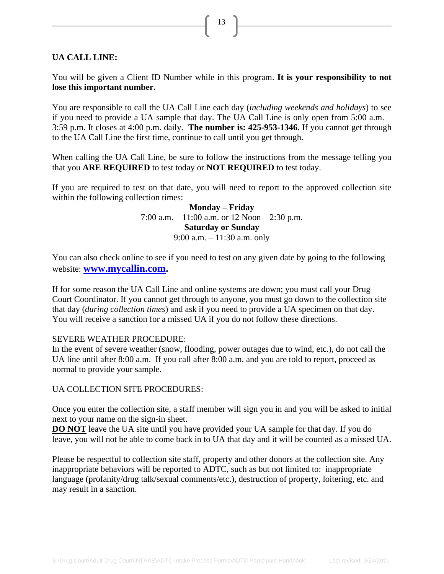#### **UA CALL LINE:**

You will be given a Client ID Number while in this program. **It is your responsibility to not lose this important number.** 

13

You are responsible to call the UA Call Line each day (*including weekends and holidays*) to see if you need to provide a UA sample that day. The UA Call Line is only open from 5:00 a.m. – 3:59 p.m. It closes at 4:00 p.m. daily. **The number is: 425-953-1346.** If you cannot get through to the UA Call Line the first time, continue to call until you get through.

When calling the UA Call Line, be sure to follow the instructions from the message telling you that you **ARE REQUIRED** to test today or **NOT REQUIRED** to test today.

If you are required to test on that date, you will need to report to the approved collection site within the following collection times:

> **Monday – Friday** 7:00 a.m. – 11:00 a.m. or 12 Noon – 2:30 p.m. **Saturday or Sunday** 9:00 a.m. – 11:30 a.m. only

You can also check online to see if you need to test on any given date by going to the following website: **www.mycallin.com.** 

If for some reason the UA Call Line and online systems are down; you must call your Drug Court Coordinator. If you cannot get through to anyone, you must go down to the collection site that day (*during collection times*) and ask if you need to provide a UA specimen on that day. You will receive a sanction for a missed UA if you do not follow these directions.

#### SEVERE WEATHER PROCEDURE:

In the event of severe weather (snow, flooding, power outages due to wind, etc.), do not call the UA line until after 8:00 a.m. If you call after 8:00 a.m. and you are told to report, proceed as normal to provide your sample.

UA COLLECTION SITE PROCEDURES:

Once you enter the collection site, a staff member will sign you in and you will be asked to initial next to your name on the sign-in sheet.

**DO NOT** leave the UA site until you have provided your UA sample for that day. If you do leave, you will not be able to come back in to UA that day and it will be counted as a missed UA.

Please be respectful to collection site staff, property and other donors at the collection site. Any inappropriate behaviors will be reported to ADTC, such as but not limited to: inappropriate language (profanity/drug talk/sexual comments/etc.), destruction of property, loitering, etc. and may result in a sanction.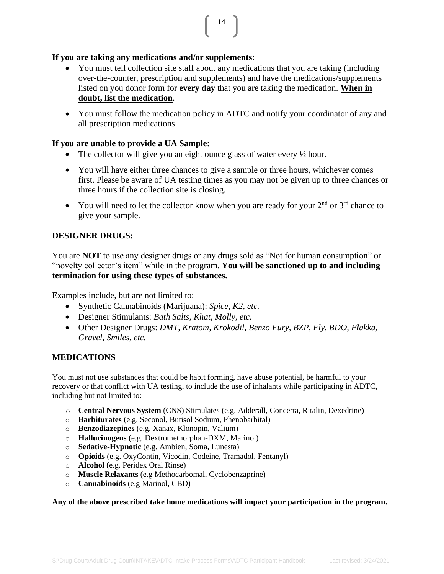#### **If you are taking any medications and/or supplements:**

• You must tell collection site staff about any medications that you are taking (including over-the-counter, prescription and supplements) and have the medications/supplements listed on you donor form for **every day** that you are taking the medication. **When in doubt, list the medication**.

14

• You must follow the medication policy in ADTC and notify your coordinator of any and all prescription medications.

#### **If you are unable to provide a UA Sample:**

- The collector will give you an eight ounce glass of water every  $\frac{1}{2}$  hour.
- You will have either three chances to give a sample or three hours, whichever comes first. Please be aware of UA testing times as you may not be given up to three chances or three hours if the collection site is closing.
- You will need to let the collector know when you are ready for your  $2<sup>nd</sup>$  or  $3<sup>rd</sup>$  chance to give your sample.

#### **DESIGNER DRUGS:**

You are **NOT** to use any designer drugs or any drugs sold as "Not for human consumption" or "novelty collector's item" while in the program. **You will be sanctioned up to and including termination for using these types of substances.** 

Examples include, but are not limited to:

- Synthetic Cannabinoids (Marijuana): *Spice, K2, etc.*
- Designer Stimulants: *Bath Salts, Khat, Molly, etc.*
- Other Designer Drugs: *DMT, Kratom, Krokodil, Benzo Fury, BZP, Fly, BDO, Flakka, Gravel, Smiles, etc.*

#### **MEDICATIONS**

You must not use substances that could be habit forming, have abuse potential, be harmful to your recovery or that conflict with UA testing, to include the use of inhalants while participating in ADTC, including but not limited to:

- o **Central Nervous System** (CNS) Stimulates (e.g. Adderall, Concerta, Ritalin, Dexedrine)
- o **Barbiturates** (e.g. Seconol, Butisol Sodium, Phenobarbital)
- o **Benzodiazepines** (e.g. Xanax, Klonopin, Valium)
- o **Hallucinogens** (e.g. Dextromethorphan-DXM, Marinol)
- o **Sedative-Hypnotic** (e.g. Ambien, Soma, Lunesta)
- o **Opioids** (e.g. OxyContin, Vicodin, Codeine, Tramadol, Fentanyl)
- o **Alcohol** (e.g. Peridex Oral Rinse)
- o **Muscle Relaxants** (e.g Methocarbomal, Cyclobenzaprine)
- o **Cannabinoids** (e.g Marinol, CBD)

#### **Any of the above prescribed take home medications will impact your participation in the program.**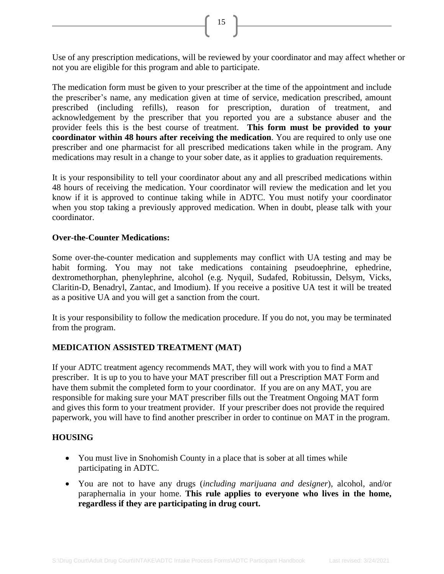Use of any prescription medications, will be reviewed by your coordinator and may affect whether or not you are eligible for this program and able to participate.

15

The medication form must be given to your prescriber at the time of the appointment and include the prescriber's name, any medication given at time of service, medication prescribed, amount prescribed (including refills), reason for prescription, duration of treatment, and acknowledgement by the prescriber that you reported you are a substance abuser and the provider feels this is the best course of treatment. **This form must be provided to your coordinator within 48 hours after receiving the medication**. You are required to only use one prescriber and one pharmacist for all prescribed medications taken while in the program. Any medications may result in a change to your sober date, as it applies to graduation requirements.

It is your responsibility to tell your coordinator about any and all prescribed medications within 48 hours of receiving the medication. Your coordinator will review the medication and let you know if it is approved to continue taking while in ADTC. You must notify your coordinator when you stop taking a previously approved medication. When in doubt, please talk with your coordinator.

#### **Over-the-Counter Medications:**

Some over-the-counter medication and supplements may conflict with UA testing and may be habit forming. You may not take medications containing pseudoephrine, ephedrine, dextromethorphan, phenylephrine, alcohol (e.g. Nyquil, Sudafed, Robitussin, Delsym, Vicks, Claritin-D, Benadryl, Zantac, and Imodium). If you receive a positive UA test it will be treated as a positive UA and you will get a sanction from the court.

It is your responsibility to follow the medication procedure. If you do not, you may be terminated from the program.

#### **MEDICATION ASSISTED TREATMENT (MAT)**

If your ADTC treatment agency recommends MAT, they will work with you to find a MAT prescriber. It is up to you to have your MAT prescriber fill out a Prescription MAT Form and have them submit the completed form to your coordinator. If you are on any MAT, you are responsible for making sure your MAT prescriber fills out the Treatment Ongoing MAT form and gives this form to your treatment provider. If your prescriber does not provide the required paperwork, you will have to find another prescriber in order to continue on MAT in the program.

#### **HOUSING**

- You must live in Snohomish County in a place that is sober at all times while participating in ADTC.
- You are not to have any drugs (*including marijuana and designer*), alcohol, and/or paraphernalia in your home. **This rule applies to everyone who lives in the home, regardless if they are participating in drug court.**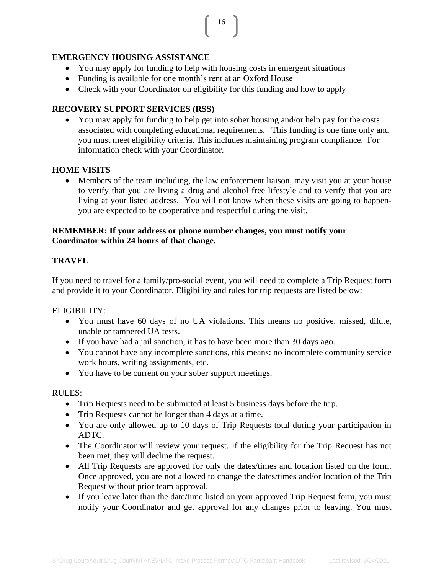#### **EMERGENCY HOUSING ASSISTANCE**

- You may apply for funding to help with housing costs in emergent situations
- Funding is available for one month's rent at an Oxford House
- Check with your Coordinator on eligibility for this funding and how to apply

#### **RECOVERY SUPPORT SERVICES (RSS)**

• You may apply for funding to help get into sober housing and/or help pay for the costs associated with completing educational requirements. This funding is one time only and you must meet eligibility criteria. This includes maintaining program compliance. For information check with your Coordinator.

#### **HOME VISITS**

• Members of the team including, the law enforcement liaison, may visit you at your house to verify that you are living a drug and alcohol free lifestyle and to verify that you are living at your listed address. You will not know when these visits are going to happenyou are expected to be cooperative and respectful during the visit.

#### **REMEMBER: If your address or phone number changes, you must notify your Coordinator within 24 hours of that change.**

#### **TRAVEL**

If you need to travel for a family/pro-social event, you will need to complete a Trip Request form and provide it to your Coordinator. Eligibility and rules for trip requests are listed below:

#### ELIGIBILITY:

- You must have 60 days of no UA violations. This means no positive, missed, dilute, unable or tampered UA tests.
- If you have had a jail sanction, it has to have been more than 30 days ago.
- You cannot have any incomplete sanctions, this means: no incomplete community service work hours, writing assignments, etc.
- You have to be current on your sober support meetings.

#### RULES:

- Trip Requests need to be submitted at least 5 business days before the trip.
- Trip Requests cannot be longer than 4 days at a time.
- You are only allowed up to 10 days of Trip Requests total during your participation in ADTC.
- The Coordinator will review your request. If the eligibility for the Trip Request has not been met, they will decline the request.
- All Trip Requests are approved for only the dates/times and location listed on the form. Once approved, you are not allowed to change the dates/times and/or location of the Trip Request without prior team approval.
- If you leave later than the date/time listed on your approved Trip Request form, you must notify your Coordinator and get approval for any changes prior to leaving. You must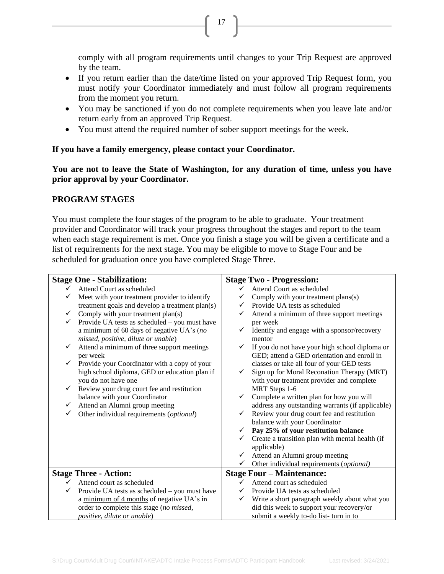comply with all program requirements until changes to your Trip Request are approved by the team.

• If you return earlier than the date/time listed on your approved Trip Request form, you must notify your Coordinator immediately and must follow all program requirements from the moment you return.

17

- You may be sanctioned if you do not complete requirements when you leave late and/or return early from an approved Trip Request.
- You must attend the required number of sober support meetings for the week.

#### **If you have a family emergency, please contact your Coordinator.**

**You are not to leave the State of Washington, for any duration of time, unless you have prior approval by your Coordinator.** 

#### **PROGRAM STAGES**

You must complete the four stages of the program to be able to graduate. Your treatment provider and Coordinator will track your progress throughout the stages and report to the team when each stage requirement is met. Once you finish a stage you will be given a certificate and a list of requirements for the next stage. You may be eligible to move to Stage Four and be scheduled for graduation once you have completed Stage Three.

| <b>Stage One - Stabilization:</b>                                |                                                                                  |              | <b>Stage Two - Progression:</b>                       |
|------------------------------------------------------------------|----------------------------------------------------------------------------------|--------------|-------------------------------------------------------|
|                                                                  | Attend Court as scheduled                                                        |              | Attend Court as scheduled                             |
|                                                                  | Meet with your treatment provider to identify                                    |              | Comply with your treatment plans(s)                   |
|                                                                  | treatment goals and develop a treatment plan(s)                                  | ✓            | Provide UA tests as scheduled                         |
| $\checkmark$                                                     | Comply with your treatment plan(s)                                               |              | Attend a minimum of three support meetings            |
| ✓                                                                | Provide UA tests as scheduled - you must have                                    |              | per week                                              |
|                                                                  | a minimum of 60 days of negative UA's (no<br>missed, positive, dilute or unable) | ✓            | Identify and engage with a sponsor/recovery<br>mentor |
| ✓                                                                | Attend a minimum of three support meetings                                       |              | If you do not have your high school diploma or        |
|                                                                  | per week                                                                         |              | GED; attend a GED orientation and enroll in           |
| $\checkmark$                                                     | Provide your Coordinator with a copy of your                                     |              | classes or take all four of your GED tests            |
|                                                                  | high school diploma, GED or education plan if                                    |              | Sign up for Moral Reconation Therapy (MRT)            |
|                                                                  | you do not have one                                                              |              | with your treatment provider and complete             |
| ✓                                                                | Review your drug court fee and restitution                                       |              | MRT Steps 1-6                                         |
|                                                                  | balance with your Coordinator                                                    | $\checkmark$ | Complete a written plan for how you will              |
| ✓                                                                | Attend an Alumni group meeting                                                   |              | address any outstanding warrants (if applicable)      |
|                                                                  | Other individual requirements (optional)                                         | $\checkmark$ | Review your drug court fee and restitution            |
|                                                                  |                                                                                  |              | balance with your Coordinator                         |
|                                                                  |                                                                                  | $\checkmark$ | Pay 25% of your restitution balance                   |
|                                                                  |                                                                                  |              | Create a transition plan with mental health (if       |
|                                                                  |                                                                                  |              | applicable)                                           |
|                                                                  |                                                                                  |              | Attend an Alumni group meeting                        |
|                                                                  |                                                                                  |              | Other individual requirements (optional)              |
| <b>Stage Four – Maintenance:</b><br><b>Stage Three - Action:</b> |                                                                                  |              |                                                       |
| ✓                                                                | Attend court as scheduled                                                        |              | Attend court as scheduled                             |
| ✓                                                                | Provide UA tests as scheduled - you must have                                    | ✓            | Provide UA tests as scheduled                         |
|                                                                  | a minimum of 4 months of negative UA's in                                        |              | Write a short paragraph weekly about what you         |
|                                                                  | order to complete this stage (no missed,                                         |              | did this week to support your recovery/or             |
|                                                                  | <i>positive, dilute or unable)</i>                                               |              | submit a weekly to-do list- turn in to                |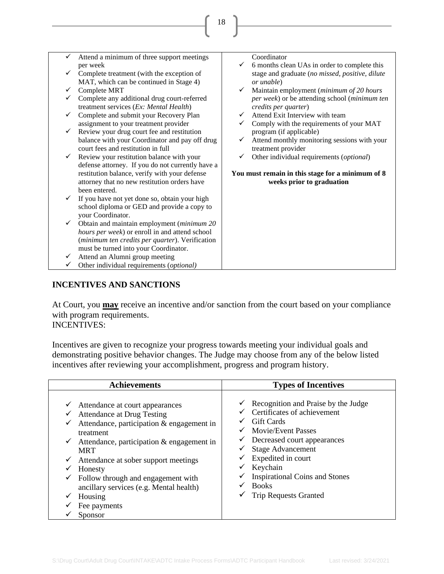| ✓            | Attend a minimum of three support meetings       | Coordinator                                                  |
|--------------|--------------------------------------------------|--------------------------------------------------------------|
|              | per week                                         | 6 months clean UAs in order to complete this<br>$\checkmark$ |
| ✓            | Complete treatment (with the exception of        | stage and graduate (no missed, positive, dilute              |
|              | MAT, which can be continued in Stage 4)          | or unable)                                                   |
| $\checkmark$ | Complete MRT                                     | Maintain employment (minimum of 20 hours<br>$\checkmark$     |
| ✓            | Complete any additional drug court-referred      | per week) or be attending school (minimum ten                |
|              | treatment services (Ex: Mental Health)           | credits per quarter)                                         |
| ✓            | Complete and submit your Recovery Plan           | Attend Exit Interview with team<br>$\checkmark$              |
|              | assignment to your treatment provider            | Comply with the requirements of your MAT<br>✓                |
| $\checkmark$ | Review your drug court fee and restitution       | program (if applicable)                                      |
|              | balance with your Coordinator and pay off drug   | Attend monthly monitoring sessions with your<br>✓            |
|              | court fees and restitution in full               | treatment provider                                           |
| ✓            | Review your restitution balance with your        | Other individual requirements (optional)<br>✓                |
|              | defense attorney. If you do not currently have a |                                                              |
|              | restitution balance, verify with your defense    | You must remain in this stage for a minimum of 8             |
|              | attorney that no new restitution orders have     | weeks prior to graduation                                    |
|              | been entered.                                    |                                                              |
| ✓            | If you have not yet done so, obtain your high    |                                                              |
|              | school diploma or GED and provide a copy to      |                                                              |
|              | your Coordinator.                                |                                                              |
| $\checkmark$ | Obtain and maintain employment (minimum 20       |                                                              |
|              | hours per week) or enroll in and attend school   |                                                              |
|              | (minimum ten credits per quarter). Verification  |                                                              |
|              | must be turned into your Coordinator.            |                                                              |
| ✓            | Attend an Alumni group meeting                   |                                                              |
| ✓            | Other individual requirements (optional)         |                                                              |

### **INCENTIVES AND SANCTIONS**

At Court, you **may** receive an incentive and/or sanction from the court based on your compliance with program requirements. INCENTIVES:

Incentives are given to recognize your progress towards meeting your individual goals and demonstrating positive behavior changes. The Judge may choose from any of the below listed incentives after reviewing your accomplishment, progress and program history.

| <b>Achievements</b>                                                                                                                                                                                                                                                                                                                                                                   | <b>Types of Incentives</b>                                                                                                                                                                                                                                                                                 |
|---------------------------------------------------------------------------------------------------------------------------------------------------------------------------------------------------------------------------------------------------------------------------------------------------------------------------------------------------------------------------------------|------------------------------------------------------------------------------------------------------------------------------------------------------------------------------------------------------------------------------------------------------------------------------------------------------------|
| Attendance at court appearances<br>Attendance at Drug Testing<br>✔<br>Attendance, participation & engagement in<br>✓<br>treatment<br>Attendance, participation & engagement in<br>✓<br><b>MRT</b><br>Attendance at sober support meetings<br>✓<br>Honesty<br>Follow through and engagement with<br>✓<br>ancillary services (e.g. Mental health)<br>Housing<br>Fee payments<br>Sponsor | Recognition and Praise by the Judge<br>Certificates of achievement<br><b>Gift Cards</b><br><b>Movie/Event Passes</b><br>Decreased court appearances<br><b>Stage Advancement</b><br>Expedited in court<br>Keychain<br><b>Inspirational Coins and Stones</b><br><b>Books</b><br><b>Trip Requests Granted</b> |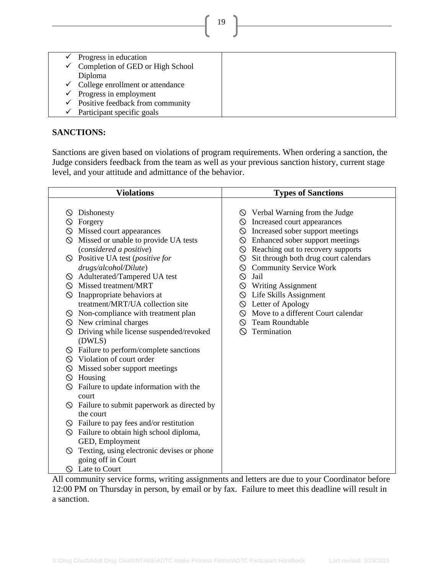Progress in education  $\checkmark$  Completion of GED or High School Diploma ✓ College enrollment or attendance  $\checkmark$  Progress in employment  $\checkmark$  Positive feedback from community  $\checkmark$  Participant specific goals

19

#### **SANCTIONS:**

Sanctions are given based on violations of program requirements. When ordering a sanction, the Judge considers feedback from the team as well as your previous sanction history, current stage level, and your attitude and admittance of the behavior.

| <b>Violations</b>                                                                                                                                                                                                                                                              | <b>Types of Sanctions</b>                                                                                                                                                                                                                                                                                                                                  |
|--------------------------------------------------------------------------------------------------------------------------------------------------------------------------------------------------------------------------------------------------------------------------------|------------------------------------------------------------------------------------------------------------------------------------------------------------------------------------------------------------------------------------------------------------------------------------------------------------------------------------------------------------|
| Dishonesty<br>$\circ$<br>$\circledcirc$ Forgery<br>$\odot$ Missed court appearances<br>Missed or unable to provide UA tests<br>$\infty$<br>(considered a positive)<br>$\circledcirc$ Positive UA test (positive for<br>drugs/alcohol/Dilute)<br>◎ Adulterated/Tampered UA test | $\Diamond$ Verbal Warning from the Judge<br>$\Diamond$ Increased court appearances<br>$\Diamond$ Increased sober support meetings<br>Enhanced sober support meetings<br>$\infty$<br>Reaching out to recovery supports<br>$\circ$<br>$\Diamond$ Sit through both drug court calendars<br><b>Community Service Work</b><br>$\odot$<br>Jail<br>$\circledcirc$ |
| $\oslash$ Missed treatment/MRT<br>Inappropriate behaviors at<br>ல<br>treatment/MRT/UA collection site                                                                                                                                                                          | <b>Writing Assignment</b><br>$\circledcirc$<br>Life Skills Assignment<br>$\circledcirc$                                                                                                                                                                                                                                                                    |
| $\Diamond$ Non-compliance with treatment plan<br>$\Diamond$ New criminal charges<br>$\circledcirc$ Driving while license suspended/revoked                                                                                                                                     | Letter of Apology<br>$\circ$<br>Move to a different Court calendar<br>↷<br><b>Team Roundtable</b><br>$\circ$<br>Termination<br>ര                                                                                                                                                                                                                           |
| (DWLS)<br>$\Diamond$ Failure to perform/complete sanctions<br>$\Diamond$ Violation of court order<br>Missed sober support meetings                                                                                                                                             |                                                                                                                                                                                                                                                                                                                                                            |
| $\circledcirc$ Housing<br>$\Diamond$ Failure to update information with the<br>court                                                                                                                                                                                           |                                                                                                                                                                                                                                                                                                                                                            |
| $\Diamond$ Failure to submit paperwork as directed by<br>the court                                                                                                                                                                                                             |                                                                                                                                                                                                                                                                                                                                                            |
| $\Diamond$ Failure to pay fees and/or restitution<br>$\Diamond$ Failure to obtain high school diploma,<br>GED, Employment                                                                                                                                                      |                                                                                                                                                                                                                                                                                                                                                            |
| Texting, using electronic devises or phone<br>$\circ$<br>going off in Court<br>Late to Court<br>$\circledcirc$                                                                                                                                                                 |                                                                                                                                                                                                                                                                                                                                                            |

All community service forms, writing assignments and letters are due to your Coordinator before 12:00 PM on Thursday in person, by email or by fax. Failure to meet this deadline will result in a sanction.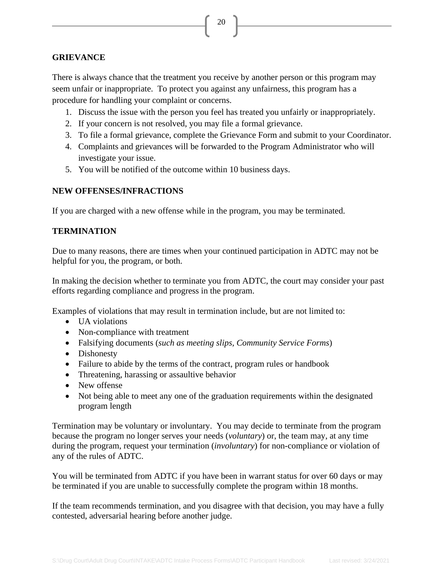#### **GRIEVANCE**

There is always chance that the treatment you receive by another person or this program may seem unfair or inappropriate. To protect you against any unfairness, this program has a procedure for handling your complaint or concerns.

1. Discuss the issue with the person you feel has treated you unfairly or inappropriately.

20

- 2. If your concern is not resolved, you may file a formal grievance.
- 3. To file a formal grievance, complete the Grievance Form and submit to your Coordinator.
- 4. Complaints and grievances will be forwarded to the Program Administrator who will investigate your issue.
- 5. You will be notified of the outcome within 10 business days.

#### **NEW OFFENSES/INFRACTIONS**

If you are charged with a new offense while in the program, you may be terminated.

#### **TERMINATION**

Due to many reasons, there are times when your continued participation in ADTC may not be helpful for you, the program, or both.

In making the decision whether to terminate you from ADTC, the court may consider your past efforts regarding compliance and progress in the program.

Examples of violations that may result in termination include, but are not limited to:

- UA violations
- Non-compliance with treatment
- Falsifying documents (*such as meeting slips, Community Service Forms*)
- Dishonesty
- Failure to abide by the terms of the contract, program rules or handbook
- Threatening, harassing or assaultive behavior
- New offense
- Not being able to meet any one of the graduation requirements within the designated program length

Termination may be voluntary or involuntary. You may decide to terminate from the program because the program no longer serves your needs (*voluntary*) or, the team may, at any time during the program, request your termination (*involuntary*) for non-compliance or violation of any of the rules of ADTC.

You will be terminated from ADTC if you have been in warrant status for over 60 days or may be terminated if you are unable to successfully complete the program within 18 months.

If the team recommends termination, and you disagree with that decision, you may have a fully contested, adversarial hearing before another judge.